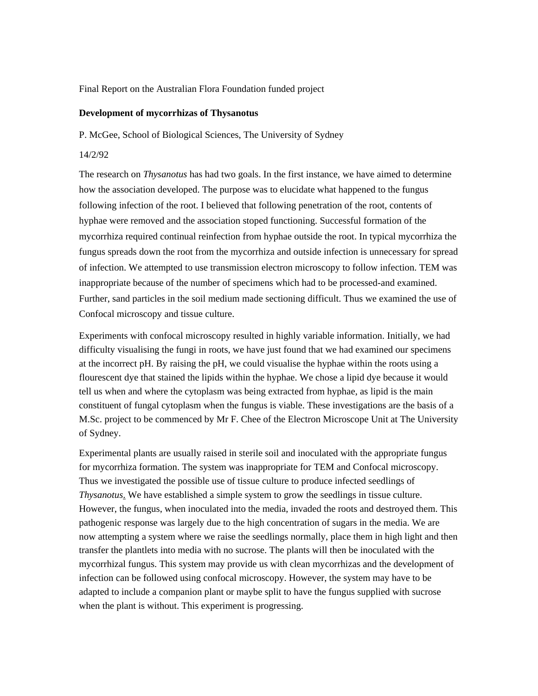## Final Report on the Australian Flora Foundation funded project

## **Development of mycorrhizas of Thysanotus**

P. McGee, School of Biological Sciences, The University of Sydney

## 14/2/92

The research on *Thysanotus* has had two goals. In the first instance, we have aimed to determine how the association developed. The purpose was to elucidate what happened to the fungus following infection of the root. I believed that following penetration of the root, contents of hyphae were removed and the association stoped functioning. Successful formation of the mycorrhiza required continual reinfection from hyphae outside the root. In typical mycorrhiza the fungus spreads down the root from the mycorrhiza and outside infection is unnecessary for spread of infection. We attempted to use transmission electron microscopy to follow infection. TEM was inappropriate because of the number of specimens which had to be processed-and examined. Further, sand particles in the soil medium made sectioning difficult. Thus we examined the use of Confocal microscopy and tissue culture.

Experiments with confocal microscopy resulted in highly variable information. Initially, we had difficulty visualising the fungi in roots, we have just found that we had examined our specimens at the incorrect pH. By raising the pH, we could visualise the hyphae within the roots using a flourescent dye that stained the lipids within the hyphae. We chose a lipid dye because it would tell us when and where the cytoplasm was being extracted from hyphae, as lipid is the main constituent of fungal cytoplasm when the fungus is viable. These investigations are the basis of a M.Sc. project to be commenced by Mr F. Chee of the Electron Microscope Unit at The University of Sydney.

Experimental plants are usually raised in sterile soil and inoculated with the appropriate fungus for mycorrhiza formation. The system was inappropriate for TEM and Confocal microscopy. Thus we investigated the possible use of tissue culture to produce infected seedlings of *Thysanotus*. We have established a simple system to grow the seedlings in tissue culture. However, the fungus, when inoculated into the media, invaded the roots and destroyed them. This pathogenic response was largely due to the high concentration of sugars in the media. We are now attempting a system where we raise the seedlings normally, place them in high light and then transfer the plantlets into media with no sucrose. The plants will then be inoculated with the mycorrhizal fungus. This system may provide us with clean mycorrhizas and the development of infection can be followed using confocal microscopy. However, the system may have to be adapted to include a companion plant or maybe split to have the fungus supplied with sucrose when the plant is without. This experiment is progressing.